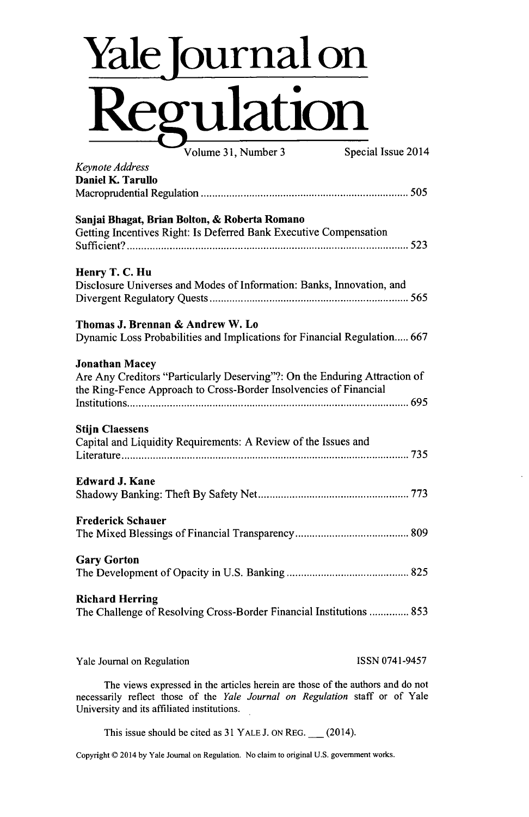## **Yale ournal on Regulation**

Volume 31, Number 3 Special Issue 2014 *Keynote Address* Daniel K. Tarullo Macroprudential Regulation **.......................... ......** *<sup>505</sup>* Sanjai Bhagat, Brian Bolton, **&** Roberta Romano Getting Incentives Right: Is Deferred Bank Executive Compensation **Sufficient? . . . . . . . . . . . . . ... ... ........ . . . . . . . . . . . . . . 523** Henry T. **C.** Hu Disclosure Universes and Modes of Information: Banks, Innovation, and Divergent Regulatory **Quests...................... .........** *<sup>565</sup>* Thomas **J.** Brennan **&** Andrew W. Lo Dynamic Loss Probabilities and Implications for Financial Regulation..... **667** Jonathan Macey Are Any Creditors "Particularly Deserving"?: On the Enduring Attraction of the Ring-Fence Approach to Cross-Border Insolvencies of Financial Institutions............... **...................... ..... 695 Stiin Claessens** Capital and Liquidity Requirements: **A** Review of the Issues and **Literature............................ .... ... ....... .......... 735** Edward **J. Kane** Shadowy Banking: Theft **By** Safety Net **....................... 773** Frederick Schauer The Mixed Blessings of Financial Transparency **............................ 809** Gary Gorton The Development of Opacity in **U.S.** Banking **............. ...... 825** Richard Herring The Challenge of Resolving Cross-Border Financial Institutions **.............. 853**

Yale Journal on Regulation **ISSN 0741-9457** 

The views expressed in the articles herein are those of the authors and do not necessarily reflect those of the *Yale Journal on Regulation* staff or of Yale University and its affiliated institutions.

This issue should be cited as **31** YALE **J. ON** REG. **\_** (2014).

Copyright C 2014 **by** Yale Journal on Regulation. No claim to original **U.S.** government works.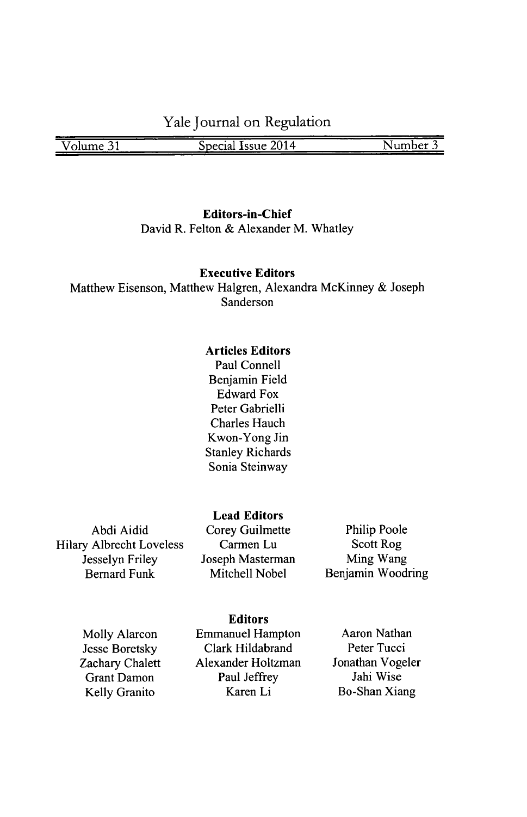**Yale Journal on Regulation**

**Volume 31 Special Issue 2014 Number 3** 

**Editors-in-Chief** David R. Felton **&** Alexander M. Whatley

## **Executive Editors**

Matthew Eisenson, Matthew Halgren, Alexandra McKinney **&** Joseph Sanderson

## **Articles Editors**

Paul Connell Benjamin Field Edward Fox Peter Gabrielli Charles Hauch Kwon-Yong Jin Stanley Richards Sonia Steinway

Abdi Aidid Hilary Albrecht Loveless Jesselyn Friley Bernard Funk

**Lead Editors** Corey Guilmette Carmen Lu. Joseph Masterman Mitchell Nobel

Philip Poole Scott Rog Ming Wang Benjamin Woodring

Molly Alarcon Jesse Boretsky Zachary Chalett Grant Damon Kelly Granito

**Editors**

Emmanuel Hampton Clark Hildabrand Alexander Holtzman Paul Jeffrey Karen Li

Aaron Nathan Peter Tucci Jonathan Vogeler Jahi Wise Bo-Shan Xiang